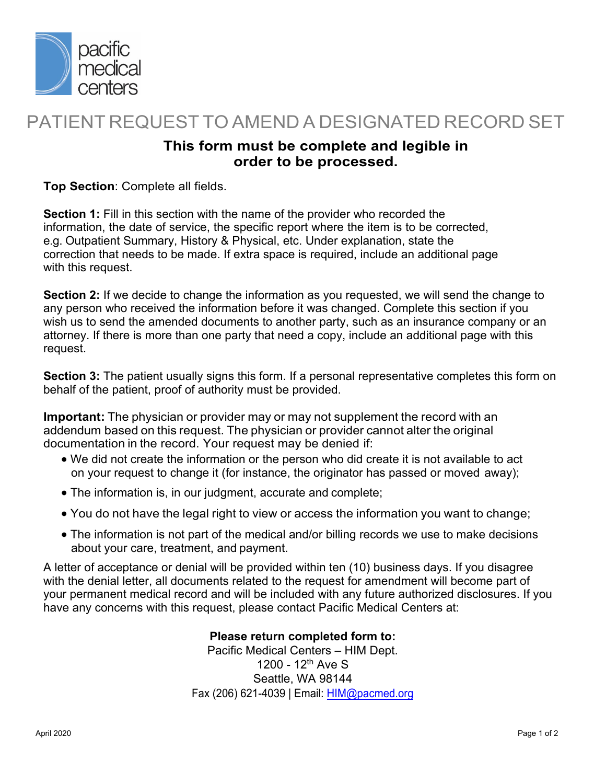

## PATIENT REQUEST TO AMEND A DESIGNATED RECORD SET

## **This form must be complete and legible in order to be processed.**

**Top Section**: Complete all fields.

**Section 1:** Fill in this section with the name of the provider who recorded the information, the date of service, the specific report where the item is to be corrected, e.g. Outpatient Summary, History & Physical, etc. Under explanation, state the correction that needs to be made. If extra space is required, include an additional page with this request.

**Section 2:** If we decide to change the information as you requested, we will send the change to any person who received the information before it was changed. Complete this section if you wish us to send the amended documents to another party, such as an insurance company or an attorney. If there is more than one party that need a copy, include an additional page with this request.

**Section 3:** The patient usually signs this form. If a personal representative completes this form on behalf of the patient, proof of authority must be provided.

**Important:** The physician or provider may or may not supplement the record with an addendum based on this request. The physician or provider cannot alter the original documentation in the record. Your request may be denied if:

- We did not create the information or the person who did create it is not available to act on your request to change it (for instance, the originator has passed or moved away);
- The information is, in our judgment, accurate and complete;
- You do not have the legal right to view or access the information you want to change;
- The information is not part of the medical and/or billing records we use to make decisions about your care, treatment, and payment.

A letter of acceptance or denial will be provided within ten (10) business days. If you disagree with the denial letter, all documents related to the request for amendment will become part of your permanent medical record and will be included with any future authorized disclosures. If you have any concerns with this request, please contact Pacific Medical Centers at:

## **Please return completed form to:**

Pacific Medical Centers – HIM Dept. 1200 - 12th Ave S Seattle, WA 98144 Fax (206) 621-4039 | Email: HIM@pacmed.org